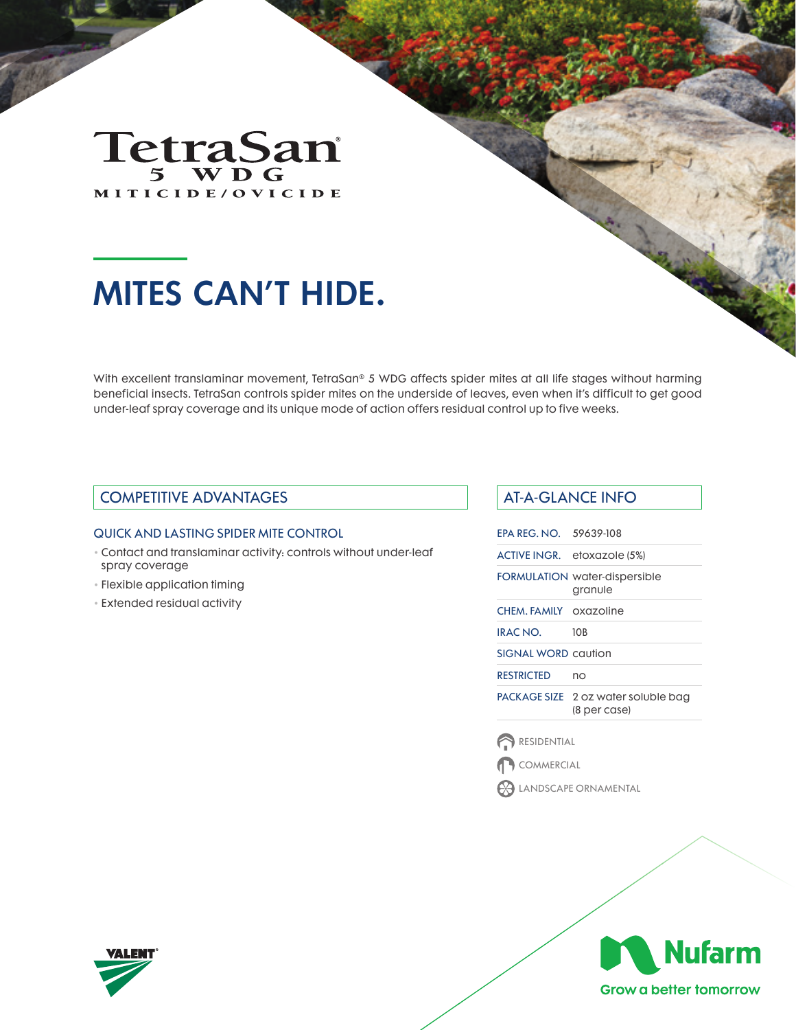

# MITES CAN'T HIDE.

With excellent translaminar movement, TetraSan® 5 WDG affects spider mites at all life stages without harming beneficial insects. TetraSan controls spider mites on the underside of leaves, even when it's difficult to get good under-leaf spray coverage and its unique mode of action offers residual control up to five weeks.

### COMPETITIVE ADVANTAGES AT-A-GLANCE INFO

#### QUICK AND LASTING SPIDER MITE CONTROL

- Contact and translaminar activity: controls without under-leaf spray coverage
- Flexible application timing
- Extended residual activity

| <b>FPA RFG. NO. 59639-108</b> |                                                     |
|-------------------------------|-----------------------------------------------------|
|                               | ACTIVE INGR. etoxazole (5%)                         |
|                               | <b>FORMULATION water-dispersible</b><br>granule     |
| CHEM. FAMILY oxazoline        |                                                     |
| IRAC NO.                      | 10 <sub>B</sub>                                     |
| SIGNAI WORD caution           |                                                     |
| RESTRICTED                    | nο                                                  |
|                               | PACKAGE SIZE 2 oz water soluble bag<br>(8 per case) |
|                               |                                                     |

RESIDENTIAL

COMMERCIAL

LANDSCAPE ORNAMENTAL



Grow a better tomorrow